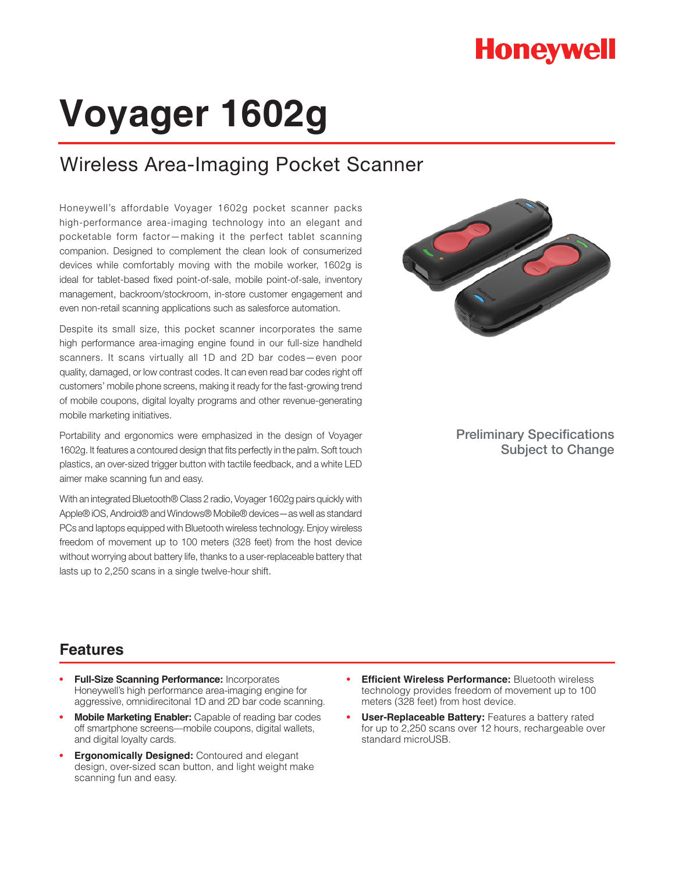## **Honeywell**

# **Voyager 1602g**

## Wireless Area-Imaging Pocket Scanner

Honeywell's affordable Voyager 1602g pocket scanner packs high-performance area-imaging technology into an elegant and pocketable form factor—making it the perfect tablet scanning companion. Designed to complement the clean look of consumerized devices while comfortably moving with the mobile worker, 1602g is ideal for tablet-based fixed point-of-sale, mobile point-of-sale, inventory management, backroom/stockroom, in-store customer engagement and even non-retail scanning applications such as salesforce automation.

Despite its small size, this pocket scanner incorporates the same high performance area-imaging engine found in our full-size handheld scanners. It scans virtually all 1D and 2D bar codes—even poor quality, damaged, or low contrast codes. It can even read bar codes right off customers' mobile phone screens, making it ready for the fast-growing trend of mobile coupons, digital loyalty programs and other revenue-generating mobile marketing initiatives.

Portability and ergonomics were emphasized in the design of Voyager 1602g. It features a contoured design that fits perfectly in the palm. Soft touch plastics, an over-sized trigger button with tactile feedback, and a white LED aimer make scanning fun and easy.

With an integrated Bluetooth® Class 2 radio, Voyager 1602g pairs quickly with Apple® iOS, Android® and Windows® Mobile® devices—as well as standard PCs and laptops equipped with Bluetooth wireless technology. Enjoy wireless freedom of movement up to 100 meters (328 feet) from the host device without worrying about battery life, thanks to a user-replaceable battery that lasts up to 2,250 scans in a single twelve-hour shift.



Preliminary Specifications Subject to Change

## **Features**

- **• Full-Size Scanning Performance:** Incorporates Honeywell's high performance area-imaging engine for aggressive, omnidirecitonal 1D and 2D bar code scanning.
- **• Mobile Marketing Enabler:** Capable of reading bar codes off smartphone screens—mobile coupons, digital wallets, and digital loyalty cards.
- **• Ergonomically Designed:** Contoured and elegant design, over-sized scan button, and light weight make scanning fun and easy.
- **• Efficient Wireless Performance:** Bluetooth wireless technology provides freedom of movement up to 100 meters (328 feet) from host device.
- **• User-Replaceable Battery:** Features a battery rated for up to 2,250 scans over 12 hours, rechargeable over standard microUSB.